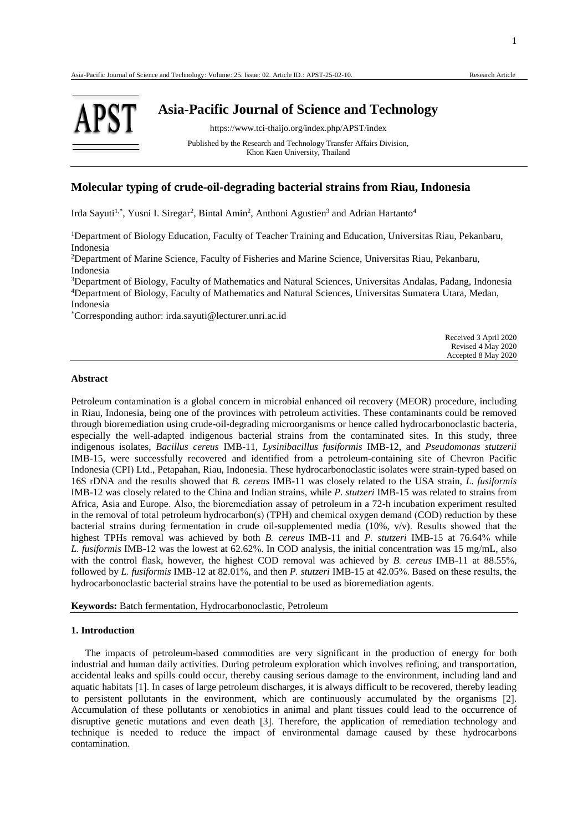

# **Asia-Pacific Journal of Science and Technology**

https://www.tci-thaijo.org/index.php/APST/index

Published by the Research and Technology Transfer Affairs Division, Khon Kaen University, Thailand

# **Molecular typing of crude-oil-degrading bacterial strains from Riau, Indonesia**

Irda Sayuti<sup>1,\*</sup>, Yusni I. Siregar<sup>2</sup>, Bintal Amin<sup>2</sup>, Anthoni Agustien<sup>3</sup> and Adrian Hartanto<sup>4</sup>

<sup>1</sup>Department of Biology Education, Faculty of Teacher Training and Education, Universitas Riau, Pekanbaru, Indonesia

<sup>2</sup>Department of Marine Science, Faculty of Fisheries and Marine Science, Universitas Riau, Pekanbaru, Indonesia

<sup>3</sup>Department of Biology, Faculty of Mathematics and Natural Sciences, Universitas Andalas, Padang, Indonesia <sup>4</sup>Department of Biology, Faculty of Mathematics and Natural Sciences, Universitas Sumatera Utara, Medan, Indonesia

\*Corresponding author: irda.sayuti@lecturer.unri.ac.id

Received 3 April 2020 Revised 4 May 2020 Accepted 8 May 2020

# **Abstract**

Petroleum contamination is a global concern in microbial enhanced oil recovery (MEOR) procedure, including in Riau, Indonesia, being one of the provinces with petroleum activities. These contaminants could be removed through bioremediation using crude-oil-degrading microorganisms or hence called hydrocarbonoclastic bacteria, especially the well-adapted indigenous bacterial strains from the contaminated sites. In this study, three indigenous isolates, *Bacillus cereus* IMB-11, *Lysinibacillus fusiformis* IMB-12, and *Pseudomonas stutzerii*  IMB-15, were successfully recovered and identified from a petroleum-containing site of Chevron Pacific Indonesia (CPI) Ltd., Petapahan, Riau, Indonesia. These hydrocarbonoclastic isolates were strain-typed based on 16S rDNA and the results showed that *B. cereus* IMB-11 was closely related to the USA strain, *L. fusiformis*  IMB-12 was closely related to the China and Indian strains, while *P. stutzeri* IMB-15 was related to strains from Africa, Asia and Europe. Also, the bioremediation assay of petroleum in a 72-h incubation experiment resulted in the removal of total petroleum hydrocarbon(s) (TPH) and chemical oxygen demand (COD) reduction by these bacterial strains during fermentation in crude oil-supplemented media (10%,  $v/v$ ). Results showed that the highest TPHs removal was achieved by both *B. cereus* IMB-11 and *P. stutzeri* IMB-15 at 76.64% while *L. fusiformis* IMB-12 was the lowest at 62.62%. In COD analysis, the initial concentration was 15 mg/mL, also with the control flask, however, the highest COD removal was achieved by *B. cereus* IMB-11 at 88.55%, followed by *L. fusiformis* IMB-12 at 82.01%, and then *P. stutzeri* IMB-15 at 42.05%. Based on these results, the hydrocarbonoclastic bacterial strains have the potential to be used as bioremediation agents.

**Keywords:** Batch fermentation, Hydrocarbonoclastic, Petroleum

# **1. Introduction**

The impacts of petroleum-based commodities are very significant in the production of energy for both industrial and human daily activities. During petroleum exploration which involves refining, and transportation, accidental leaks and spills could occur, thereby causing serious damage to the environment, including land and aquatic habitats [1]. In cases of large petroleum discharges, it is always difficult to be recovered, thereby leading to persistent pollutants in the environment, which are continuously accumulated by the organisms [2]. Accumulation of these pollutants or xenobiotics in animal and plant tissues could lead to the occurrence of disruptive genetic mutations and even death [3]. Therefore, the application of remediation technology and technique is needed to reduce the impact of environmental damage caused by these hydrocarbons contamination.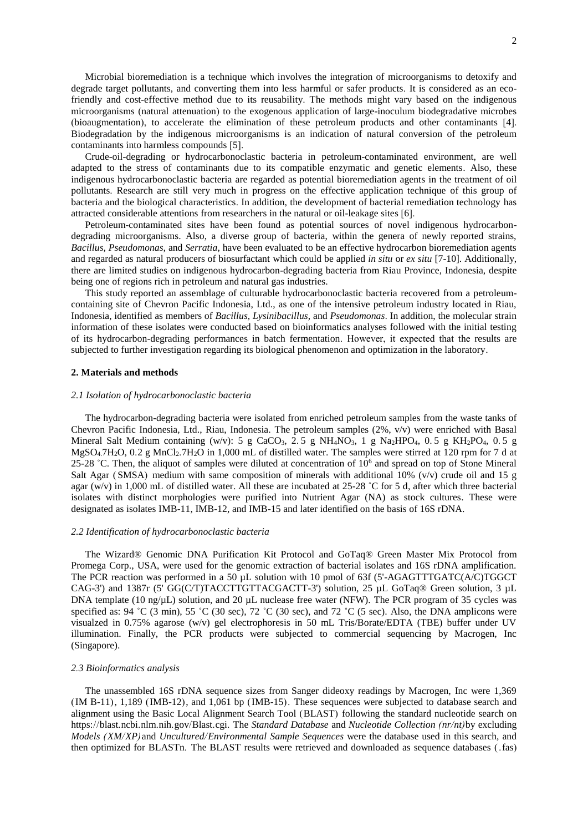Microbial bioremediation is a technique which involves the integration of microorganisms to detoxify and degrade target pollutants, and converting them into less harmful or safer products. It is considered as an ecofriendly and cost-effective method due to its reusability. The methods might vary based on the indigenous microorganisms (natural attenuation) to the exogenous application of large-inoculum biodegradative microbes (bioaugmentation), to accelerate the elimination of these petroleum products and other contaminants [4]. Biodegradation by the indigenous microorganisms is an indication of natural conversion of the petroleum contaminants into harmless compounds [5].

Crude-oil-degrading or hydrocarbonoclastic bacteria in petroleum-contaminated environment, are well adapted to the stress of contaminants due to its compatible enzymatic and genetic elements. Also, these indigenous hydrocarbonoclastic bacteria are regarded as potential bioremediation agents in the treatment of oil pollutants. Research are still very much in progress on the effective application technique of this group of bacteria and the biological characteristics. In addition, the development of bacterial remediation technology has attracted considerable attentions from researchers in the natural or oil-leakage sites [6].

Petroleum-contaminated sites have been found as potential sources of novel indigenous hydrocarbondegrading microorganisms. Also, a diverse group of bacteria, within the genera of newly reported strains, *Bacillus, Pseudomonas,* and *Serratia,* have been evaluated to be an effective hydrocarbon bioremediation agents and regarded as natural producers of biosurfactant which could be applied *in situ* or *ex situ* [7-10]. Additionally, there are limited studies on indigenous hydrocarbon-degrading bacteria from Riau Province, Indonesia, despite being one of regions rich in petroleum and natural gas industries.

This study reported an assemblage of culturable hydrocarbonoclastic bacteria recovered from a petroleumcontaining site of Chevron Pacific Indonesia, Ltd., as one of the intensive petroleum industry located in Riau, Indonesia, identified as members of *Bacillus, Lysinibacillus,* and *Pseudomonas*. In addition, the molecular strain information of these isolates were conducted based on bioinformatics analyses followed with the initial testing of its hydrocarbon-degrading performances in batch fermentation. However, it expected that the results are subjected to further investigation regarding its biological phenomenon and optimization in the laboratory.

# **2. Materials and methods**

#### *2.1 Isolation of hydrocarbonoclastic bacteria*

The hydrocarbon-degrading bacteria were isolated from enriched petroleum samples from the waste tanks of Chevron Pacific Indonesia, Ltd., Riau, Indonesia. The petroleum samples (2%, v/v) were enriched with Basal Mineral Salt Medium containing  $(w/v)$ : 5 g CaCO<sub>3</sub>, 2.5 g NH<sub>4</sub>NO<sub>3</sub>, 1 g Na<sub>2</sub>HPO<sub>4</sub>, 0.5 g KH<sub>2</sub>PO<sub>4</sub>, 0.5 g  $MgSO<sub>4</sub>7H<sub>2</sub>O$ , 0.2 g MnCl<sub>2</sub>.7H<sub>2</sub>O in 1,000 mL of distilled water. The samples were stirred at 120 rpm for 7 d at 25-28 °C. Then, the aliquot of samples were diluted at concentration of  $10<sup>6</sup>$  and spread on top of Stone Mineral Salt Agar (SMSA) medium with same composition of minerals with additional 10% (v/v) crude oil and 15 g agar (w/v) in 1,000 mL of distilled water. All these are incubated at 25-28  $\degree$ C for 5 d, after which three bacterial isolates with distinct morphologies were purified into Nutrient Agar (NA) as stock cultures. These were designated as isolates IMB-11, IMB-12, and IMB-15 and later identified on the basis of 16S rDNA.

#### *2.2 Identification of hydrocarbonoclastic bacteria*

The Wizard® Genomic DNA Purification Kit Protocol and GoTaq® Green Master Mix Protocol from Promega Corp., USA, were used for the genomic extraction of bacterial isolates and 16S rDNA amplification. The PCR reaction was performed in a 50 µL solution with 10 pmol of 63f (5'-AGAGTTTGATC(A/C)TGGCT CAG-3') and 1387r (5' GG(C/T)TACCTTGTTACGACTT-3') solution, 25 µL GoTaq® Green solution, 3 µL DNA template (10 ng/ $\mu$ L) solution, and 20  $\mu$ L nuclease free water (NFW). The PCR program of 35 cycles was specified as: 94 °C (3 min), 55 °C (30 sec), 72 °C (30 sec), and 72 °C (5 sec). Also, the DNA amplicons were visualzed in 0.75% agarose (w/v) gel electrophoresis in 50 mL Tris/Borate/EDTA (TBE) buffer under UV illumination. Finally, the PCR products were subjected to commercial sequencing by Macrogen, Inc (Singapore).

# *2.3 Bioinformatics analysis*

The unassembled 16S rDNA sequence sizes from Sanger dideoxy readings by Macrogen, Inc were 1,369 (IM B-11), 1,189 (IMB-12), and 1,061 bp (IMB-15). These sequences were subjected to database search and alignment using the Basic Local Alignment Search Tool (BLAST) following the standard nucleotide search on https://blast.ncbi.nlm.nih.gov/Blast.cgi. The *Standard Database* and *Nucleotide Collection (nr/nt)*by excluding *Models (XM/XP)*and *Uncultured/Environmental Sample Sequences* were the database used in this search, and then optimized for BLASTn. The BLAST results were retrieved and downloaded as sequence databases (.fas)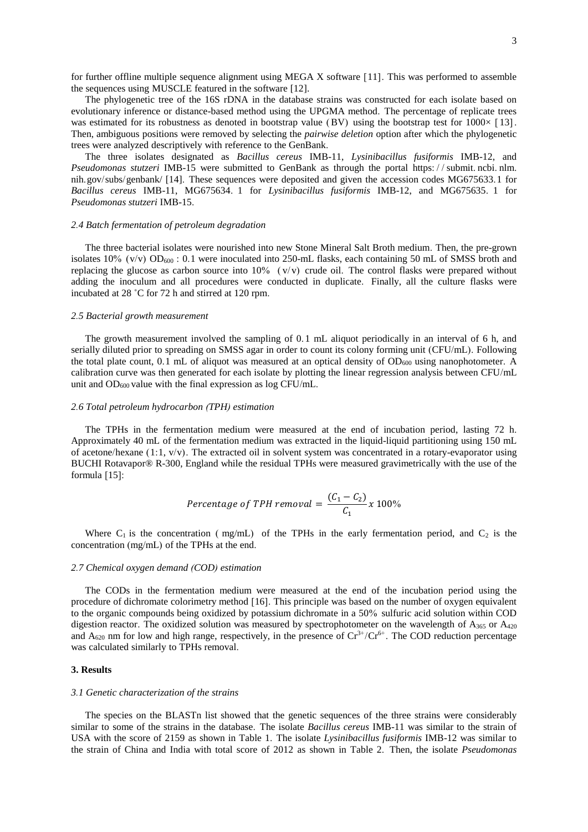for further offline multiple sequence alignment using MEGA X software [11]. This was performed to assemble the sequences using MUSCLE featured in the software [12].

The phylogenetic tree of the 16S rDNA in the database strains was constructed for each isolate based on evolutionary inference or distance-based method using the UPGMA method. The percentage of replicate trees was estimated for its robustness as denoted in bootstrap value (BV) using the bootstrap test for  $1000 \times [13]$ . Then, ambiguous positions were removed by selecting the *pairwise deletion* option after which the phylogenetic trees were analyzed descriptively with reference to the GenBank.

The three isolates designated as *Bacillus cereus* IMB-11, *Lysinibacillus fusiformis* IMB-12, and *Pseudomonas stutzeri* IMB-15 were submitted to GenBank as through the portal https: / / submit. ncbi. nlm. nih.gov/subs/genbank/ [14]. These sequences were deposited and given the accession codes MG675633.1 for *Bacillus cereus* IMB-11, MG675634. 1 for *Lysinibacillus fusiformis* IMB-12, and MG675635. 1 for *Pseudomonas stutzeri* IMB-15.

# *2.4 Batch fermentation of petroleum degradation*

The three bacterial isolates were nourished into new Stone Mineral Salt Broth medium. Then, the pre-grown isolates  $10\%$  (v/v)  $OD_{600}$ : 0.1 were inoculated into 250-mL flasks, each containing 50 mL of SMSS broth and replacing the glucose as carbon source into 10%  $(v/v)$  crude oil. The control flasks were prepared without adding the inoculum and all procedures were conducted in duplicate. Finally, all the culture flasks were incubated at 28 ˚C for 72 h and stirred at 120 rpm.

#### *2.5 Bacterial growth measurement*

The growth measurement involved the sampling of 0.1 mL aliquot periodically in an interval of 6 h, and serially diluted prior to spreading on SMSS agar in order to count its colony forming unit (CFU/mL). Following the total plate count,  $0.1$  mL of aliquot was measured at an optical density of  $OD<sub>600</sub>$  using nanophotometer. A calibration curve was then generated for each isolate by plotting the linear regression analysis between CFU/mL unit and  $OD_{600}$  value with the final expression as  $log CFU/mL$ .

#### *2.6 Total petroleum hydrocarbon (TPH) estimation*

The TPHs in the fermentation medium were measured at the end of incubation period, lasting 72 h. Approximately 40 mL of the fermentation medium was extracted in the liquid-liquid partitioning using 150 mL of acetone/hexane (1:1,  $v/v$ ). The extracted oil in solvent system was concentrated in a rotary-evaporator using BUCHI Rotavapor® R-300, England while the residual TPHs were measured gravimetrically with the use of the formula [15]:

$$
Percentage of TPH removal = \frac{(C_1 - C_2)}{C_1} x 100\%
$$

Where  $C_1$  is the concentration ( mg/mL) of the TPHs in the early fermentation period, and  $C_2$  is the concentration (mg/mL) of the TPHs at the end.

# *2.7 Chemical oxygen demand (COD) estimation*

The CODs in the fermentation medium were measured at the end of the incubation period using the procedure of dichromate colorimetry method [16]. This principle was based on the number of oxygen equivalent to the organic compounds being oxidized by potassium dichromate in a 50% sulfuric acid solution within COD digestion reactor. The oxidized solution was measured by spectrophotometer on the wavelength of  $A_{365}$  or  $A_{420}$ and  $A_{620}$  nm for low and high range, respectively, in the presence of  $Cr^{3+}/Cr^{6+}$ . The COD reduction percentage was calculated similarly to TPHs removal.

# **3. Results**

#### *3.1 Genetic characterization of the strains*

The species on the BLASTn list showed that the genetic sequences of the three strains were considerably similar to some of the strains in the database. The isolate *Bacillus cereus* IMB-11 was similar to the strain of USA with the score of 2159 as shown in Table 1. The isolate *Lysinibacillus fusiformis* IMB-12 was similar to the strain of China and India with total score of 2012 as shown in Table 2. Then, the isolate *Pseudomonas*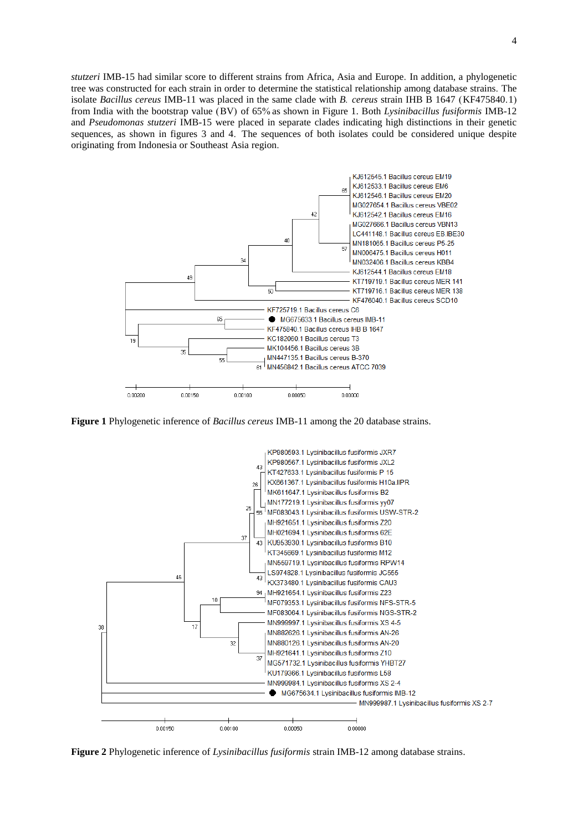*stutzeri* IMB-15 had similar score to different strains from Africa, Asia and Europe. In addition, a phylogenetic tree was constructed for each strain in order to determine the statistical relationship among database strains. The isolate *Bacillus cereus* IMB-11 was placed in the same clade with *B. cereus* strain IHB B 1647 (KF475840.1) from India with the bootstrap value (BV) of 65% as shown in Figure 1. Both *Lysinibacillus fusiformis* IMB-12 and *Pseudomonas stutzeri* IMB-15 were placed in separate clades indicating high distinctions in their genetic sequences, as shown in figures 3 and 4. The sequences of both isolates could be considered unique despite originating from Indonesia or Southeast Asia region.



**Figure 1** Phylogenetic inference of *Bacillus cereus* IMB-11 among the 20 database strains.



**Figure 2** Phylogenetic inference of *Lysinibacillus fusiformis* strain IMB-12 among database strains.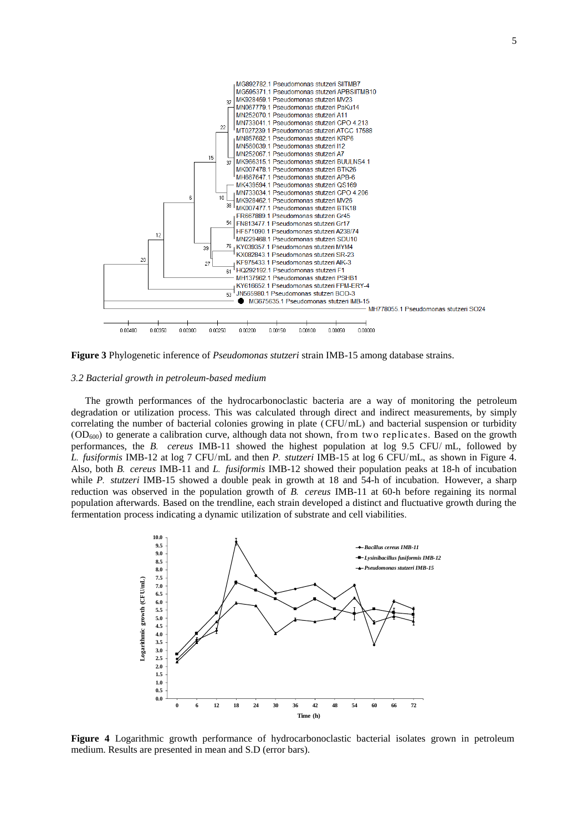

**Figure 3** Phylogenetic inference of *Pseudomonas stutzeri* strain IMB-15 among database strains.

# *3.2 Bacterial growth in petroleum-based medium*

The growth performances of the hydrocarbonoclastic bacteria are a way of monitoring the petroleum degradation or utilization process. This was calculated through direct and indirect measurements, by simply correlating the number of bacterial colonies growing in plate (CFU/mL) and bacterial suspension or turbidity (OD600) to generate a calibration curve, although data not shown, from two replicates. Based on the growth performances, the *B. cereus* IMB-11 showed the highest population at log 9.5 CFU/ mL, followed by *L. fusiformis* IMB-12 at log 7 CFU/mL and then *P. stutzeri* IMB-15 at log 6 CFU/mL, as shown in Figure 4. Also, both *B. cereus* IMB-11 and *L. fusiformis* IMB-12 showed their population peaks at 18-h of incubation while *P. stutzeri* IMB-15 showed a double peak in growth at 18 and 54-h of incubation. However, a sharp reduction was observed in the population growth of *B. cereus* IMB-11 at 60-h before regaining its normal population afterwards. Based on the trendline, each strain developed a distinct and fluctuative growth during the fermentation process indicating a dynamic utilization of substrate and cell viabilities.



**Figure 4** Logarithmic growth performance of hydrocarbonoclastic bacterial isolates grown in petroleum medium. Results are presented in mean and S.D (error bars).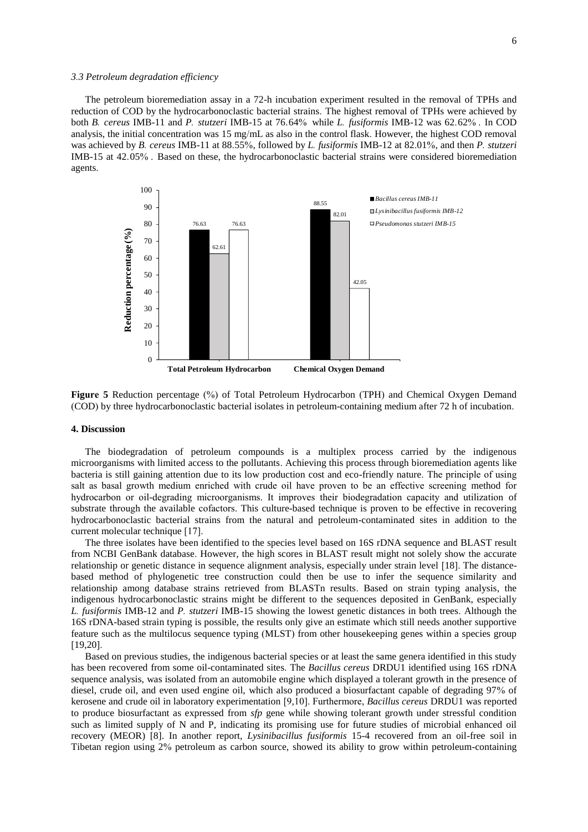#### *3.3 Petroleum degradation efficiency*

The petroleum bioremediation assay in a 72-h incubation experiment resulted in the removal of TPHs and reduction of COD by the hydrocarbonoclastic bacterial strains. The highest removal of TPHs were achieved by both *B. cereus* IMB-11 and *P. stutzeri* IMB-15 at 76.64% while *L. fusiformis* IMB-12 was 62.62% . In COD analysis, the initial concentration was 15 mg/mL as also in the control flask. However, the highest COD removal was achieved by *B. cereus* IMB-11 at 88.55%, followed by *L. fusiformis* IMB-12 at 82.01%, and then *P. stutzeri*  IMB-15 at 42.05% . Based on these, the hydrocarbonoclastic bacterial strains were considered bioremediation agents.



Figure 5 Reduction percentage (%) of Total Petroleum Hydrocarbon (TPH) and Chemical Oxygen Demand (COD) by three hydrocarbonoclastic bacterial isolates in petroleum-containing medium after 72 h of incubation.

# **4. Discussion**

The biodegradation of petroleum compounds is a multiplex process carried by the indigenous microorganisms with limited access to the pollutants. Achieving this process through bioremediation agents like bacteria is still gaining attention due to its low production cost and eco-friendly nature. The principle of using salt as basal growth medium enriched with crude oil have proven to be an effective screening method for hydrocarbon or oil-degrading microorganisms. It improves their biodegradation capacity and utilization of substrate through the available cofactors. This culture-based technique is proven to be effective in recovering hydrocarbonoclastic bacterial strains from the natural and petroleum-contaminated sites in addition to the current molecular technique [17].

The three isolates have been identified to the species level based on 16S rDNA sequence and BLAST result from NCBI GenBank database. However, the high scores in BLAST result might not solely show the accurate relationship or genetic distance in sequence alignment analysis, especially under strain level [18]. The distancebased method of phylogenetic tree construction could then be use to infer the sequence similarity and relationship among database strains retrieved from BLASTn results. Based on strain typing analysis, the indigenous hydrocarbonoclastic strains might be different to the sequences deposited in GenBank, especially *L. fusiformis* IMB-12 and *P. stutzeri* IMB-15 showing the lowest genetic distances in both trees. Although the 16S rDNA-based strain typing is possible, the results only give an estimate which still needs another supportive feature such as the multilocus sequence typing (MLST) from other housekeeping genes within a species group [19,20].

Based on previous studies, the indigenous bacterial species or at least the same genera identified in this study has been recovered from some oil-contaminated sites. The *Bacillus cereus* DRDU1 identified using 16S rDNA sequence analysis, was isolated from an automobile engine which displayed a tolerant growth in the presence of diesel, crude oil, and even used engine oil, which also produced a biosurfactant capable of degrading 97% of kerosene and crude oil in laboratory experimentation [9,10]. Furthermore, *Bacillus cereus* DRDU1 was reported to produce biosurfactant as expressed from *sfp* gene while showing tolerant growth under stressful condition such as limited supply of N and P, indicating its promising use for future studies of microbial enhanced oil recovery (MEOR) [8]. In another report, *Lysinibacillus fusiformis* 15-4 recovered from an oil-free soil in Tibetan region using 2% petroleum as carbon source, showed its ability to grow within petroleum-containing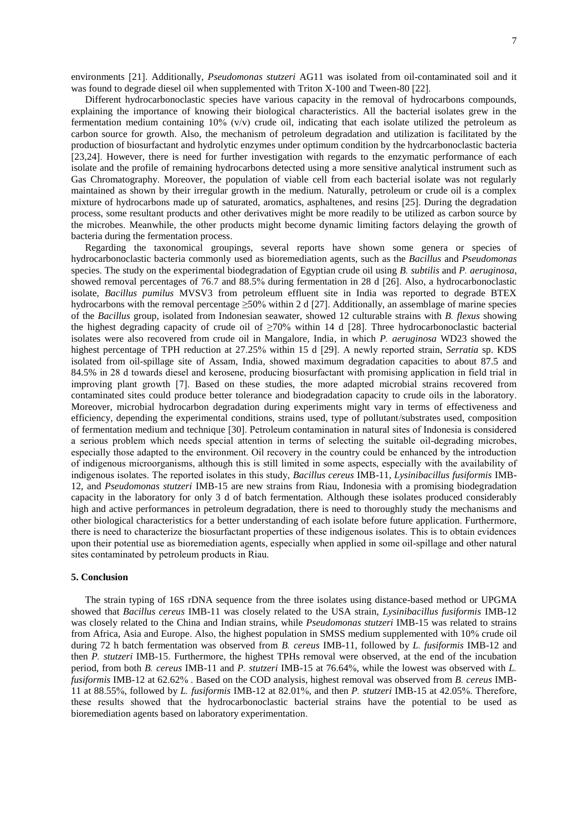environments [21]. Additionally, *Pseudomonas stutzeri* AG11 was isolated from oil-contaminated soil and it was found to degrade diesel oil when supplemented with Triton X-100 and Tween-80 [22].

Different hydrocarbonoclastic species have various capacity in the removal of hydrocarbons compounds, explaining the importance of knowing their biological characteristics. All the bacterial isolates grew in the fermentation medium containing  $10\%$  (v/v) crude oil, indicating that each isolate utilized the petroleum as carbon source for growth. Also, the mechanism of petroleum degradation and utilization is facilitated by the production of biosurfactant and hydrolytic enzymes under optimum condition by the hydrcarbonoclastic bacteria [23,24]. However, there is need for further investigation with regards to the enzymatic performance of each isolate and the profile of remaining hydrocarbons detected using a more sensitive analytical instrument such as Gas Chromatography. Moreover, the population of viable cell from each bacterial isolate was not regularly maintained as shown by their irregular growth in the medium. Naturally, petroleum or crude oil is a complex mixture of hydrocarbons made up of saturated, aromatics, asphaltenes, and resins [25]. During the degradation process, some resultant products and other derivatives might be more readily to be utilized as carbon source by the microbes. Meanwhile, the other products might become dynamic limiting factors delaying the growth of bacteria during the fermentation process.

Regarding the taxonomical groupings, several reports have shown some genera or species of hydrocarbonoclastic bacteria commonly used as bioremediation agents, such as the *Bacillus* and *Pseudomonas*  species. The study on the experimental biodegradation of Egyptian crude oil using *B. subtilis* and *P. aeruginosa*, showed removal percentages of 76.7 and 88.5% during fermentation in 28 d [26]. Also, a hydrocarbonoclastic isolate, *Bacillus pumilus* MVSV3 from petroleum effluent site in India was reported to degrade BTEX hydrocarbons with the removal percentage  $\geq 50\%$  within 2 d [27]. Additionally, an assemblage of marine species of the *Bacillus* group, isolated from Indonesian seawater, showed 12 culturable strains with *B. flexus* showing the highest degrading capacity of crude oil of  $\geq$ 70% within 14 d [28]. Three hydrocarbonoclastic bacterial isolates were also recovered from crude oil in Mangalore, India, in which *P. aeruginosa* WD23 showed the highest percentage of TPH reduction at 27.25% within 15 d [29]. A newly reported strain, *Serratia* sp. KDS isolated from oil-spillage site of Assam, India, showed maximum degradation capacities to about 87.5 and 84.5% in 28 d towards diesel and kerosene, producing biosurfactant with promising application in field trial in improving plant growth [7]. Based on these studies, the more adapted microbial strains recovered from contaminated sites could produce better tolerance and biodegradation capacity to crude oils in the laboratory. Moreover, microbial hydrocarbon degradation during experiments might vary in terms of effectiveness and efficiency, depending the experimental conditions, strains used, type of pollutant/substrates used, composition of fermentation medium and technique [30]. Petroleum contamination in natural sites of Indonesia is considered a serious problem which needs special attention in terms of selecting the suitable oil-degrading microbes, especially those adapted to the environment. Oil recovery in the country could be enhanced by the introduction of indigenous microorganisms, although this is still limited in some aspects, especially with the availability of indigenous isolates. The reported isolates in this study, *Bacillus cereus* IMB-11, *Lysinibacillus fusiformis* IMB-12, and *Pseudomonas stutzeri* IMB-15 are new strains from Riau, Indonesia with a promising biodegradation capacity in the laboratory for only 3 d of batch fermentation. Although these isolates produced considerably high and active performances in petroleum degradation, there is need to thoroughly study the mechanisms and other biological characteristics for a better understanding of each isolate before future application. Furthermore, there is need to characterize the biosurfactant properties of these indigenous isolates. This is to obtain evidences upon their potential use as bioremediation agents, especially when applied in some oil-spillage and other natural sites contaminated by petroleum products in Riau.

# **5. Conclusion**

The strain typing of 16S rDNA sequence from the three isolates using distance-based method or UPGMA showed that *Bacillus cereus* IMB-11 was closely related to the USA strain, *Lysinibacillus fusiformis* IMB-12 was closely related to the China and Indian strains, while *Pseudomonas stutzeri* IMB-15 was related to strains from Africa, Asia and Europe. Also, the highest population in SMSS medium supplemented with 10% crude oil during 72 h batch fermentation was observed from *B. cereus* IMB-11, followed by *L. fusiformis* IMB-12 and then *P. stutzeri* IMB-15. Furthermore, the highest TPHs removal were observed, at the end of the incubation period, from both *B. cereus* IMB-11 and *P. stutzeri* IMB-15 at 76.64%, while the lowest was observed with *L. fusiformis* IMB-12 at 62.62% . Based on the COD analysis, highest removal was observed from *B. cereus* IMB-11 at 88.55%, followed by *L. fusiformis* IMB-12 at 82.01%, and then *P. stutzeri* IMB-15 at 42.05%. Therefore, these results showed that the hydrocarbonoclastic bacterial strains have the potential to be used as bioremediation agents based on laboratory experimentation.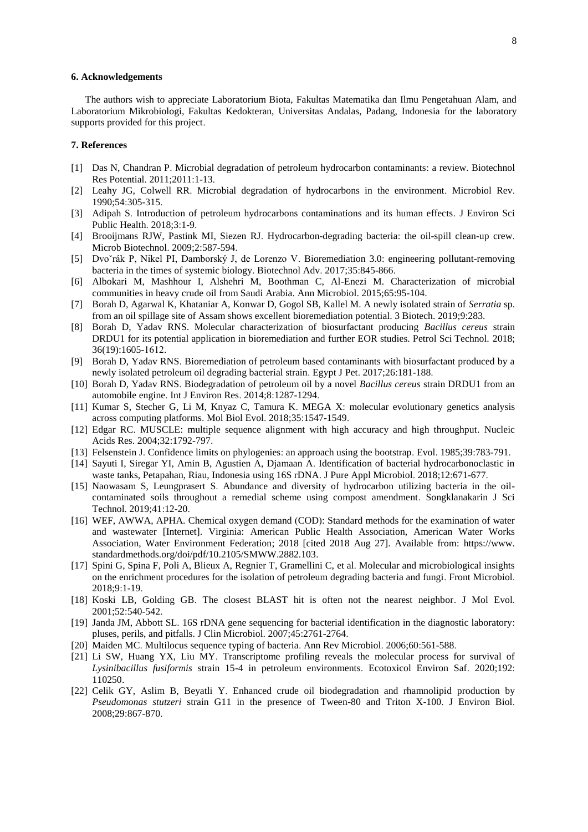# **6. Acknowledgements**

The authors wish to appreciate Laboratorium Biota, Fakultas Matematika dan Ilmu Pengetahuan Alam, and Laboratorium Mikrobiologi, Fakultas Kedokteran, Universitas Andalas, Padang, Indonesia for the laboratory supports provided for this project.

# **7. References**

- [1] Das N, Chandran P. Microbial degradation of petroleum hydrocarbon contaminants: a review. Biotechnol Res Potential. 2011;2011:1-13.
- [2] Leahy JG, Colwell RR. Microbial degradation of hydrocarbons in the environment. Microbiol Rev. 1990;54:305-315.
- [3] Adipah S. Introduction of petroleum hydrocarbons contaminations and its human effects. J Environ Sci Public Health. 2018;3:1-9.
- [4] Brooijmans RJW, Pastink MI, Siezen RJ. Hydrocarbon-degrading bacteria: the oil-spill clean-up crew. Microb Biotechnol. 2009;2:587-594.
- [5] Dvoˇrák P, Nikel PI, Damborský J, de Lorenzo V. Bioremediation 3.0: engineering pollutant-removing bacteria in the times of systemic biology. Biotechnol Adv. 2017;35:845-866.
- [6] Albokari M, Mashhour I, Alshehri M, Boothman C, Al-Enezi M. Characterization of microbial communities in heavy crude oil from Saudi Arabia. Ann Microbiol. 2015;65:95-104.
- [7] Borah D, Agarwal K, Khataniar A, Konwar D, Gogol SB, Kallel M. A newly isolated strain of *Serratia* sp. from an oil spillage site of Assam shows excellent bioremediation potential. 3 Biotech. 2019;9:283.
- [8] Borah D, Yadav RNS. Molecular characterization of biosurfactant producing *Bacillus cereus* strain DRDU1 for its potential application in bioremediation and further EOR studies. Petrol Sci Technol. 2018; 36(19):1605-1612.
- [9] Borah D, Yadav RNS. Bioremediation of petroleum based contaminants with biosurfactant produced by a newly isolated petroleum oil degrading bacterial strain. Egypt J Pet. 2017;26:181-188.
- [10] Borah D, Yadav RNS. Biodegradation of petroleum oil by a novel *Bacillus cereus* strain DRDU1 from an automobile engine. Int J Environ Res. 2014;8:1287-1294.
- [11] Kumar S, Stecher G, Li M, Knyaz C, Tamura K. MEGA X: molecular evolutionary genetics analysis across computing platforms. Mol Biol Evol. 2018;35:1547-1549.
- [12] Edgar RC. MUSCLE: multiple sequence alignment with high accuracy and high throughput. Nucleic Acids Res. 2004;32:1792-797.
- [13] Felsenstein J. Confidence limits on phylogenies: an approach using the bootstrap. Evol. 1985;39:783-791.
- [14] Sayuti I, Siregar YI, Amin B, Agustien A, Djamaan A. Identification of bacterial hydrocarbonoclastic in waste tanks, Petapahan, Riau, Indonesia using 16S rDNA. J Pure Appl Microbiol. 2018;12:671-677.
- [15] Naowasam S, Leungprasert S. Abundance and diversity of hydrocarbon utilizing bacteria in the oilcontaminated soils throughout a remedial scheme using compost amendment. Songklanakarin J Sci Technol. 2019;41:12-20.
- [16] WEF, AWWA, APHA. Chemical oxygen demand (COD): Standard methods for the examination of water and wastewater [Internet]. Virginia: American Public Health Association, American Water Works Association, Water Environment Federation; 2018 [cited 2018 Aug 27]. Available from: https://www. standardmethods.org/doi/pdf/10.2105/SMWW.2882.103.
- [17] Spini G, Spina F, Poli A, Blieux A, Regnier T, Gramellini C, et al. Molecular and microbiological insights on the enrichment procedures for the isolation of petroleum degrading bacteria and fungi. Front Microbiol. 2018;9:1-19.
- [18] Koski LB, Golding GB. The closest BLAST hit is often not the nearest neighbor. J Mol Evol. 2001;52:540-542.
- [19] Janda JM, Abbott SL. 16S rDNA gene sequencing for bacterial identification in the diagnostic laboratory: pluses, perils, and pitfalls. J Clin Microbiol. 2007;45:2761-2764.
- [20] Maiden MC. Multilocus sequence typing of bacteria. Ann Rev Microbiol. 2006;60:561-588.
- [21] Li SW, Huang YX, Liu MY. Transcriptome profiling reveals the molecular process for survival of *Lysinibacillus fusiformis* strain 15-4 in petroleum environments. Ecotoxicol Environ Saf. 2020;192: 110250.
- [22] Celik GY, Aslim B, Beyatli Y. Enhanced crude oil biodegradation and rhamnolipid production by *Pseudomonas stutzeri* strain G11 in the presence of Tween-80 and Triton X-100. J Environ Biol. 2008;29:867-870.